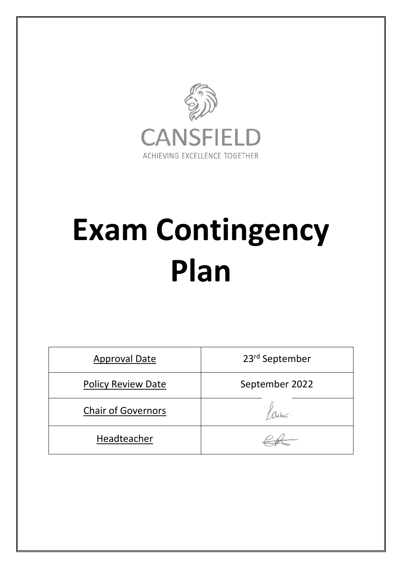

# **Exam Contingency Plan**

| <b>Approval Date</b>      | 23rd September |
|---------------------------|----------------|
| <b>Policy Review Date</b> | September 2022 |
| <b>Chair of Governors</b> |                |
| Headteacher               |                |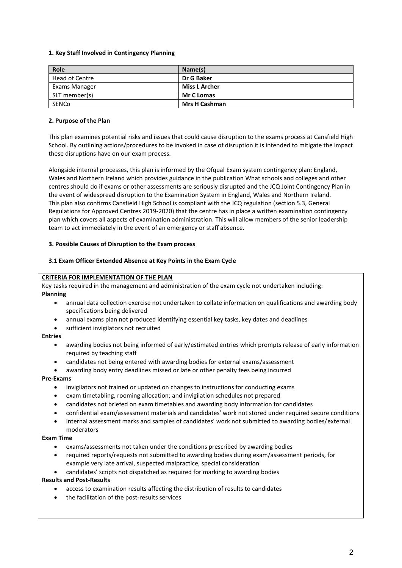# **1. Key Staff Involved in Contingency Planning**

| Role           | Name(s)              |
|----------------|----------------------|
| Head of Centre | Dr G Baker           |
| Exams Manager  | Miss L Archer        |
| SLT member(s)  | <b>Mr C Lomas</b>    |
| SENCo          | <b>Mrs H Cashman</b> |

## **2. Purpose of the Plan**

This plan examines potential risks and issues that could cause disruption to the exams process at Cansfield High School. By outlining actions/procedures to be invoked in case of disruption it is intended to mitigate the impact these disruptions have on our exam process.

Alongside internal processes, this plan is informed by the Ofqual Exam system contingency plan: England, Wales and Northern Ireland which provides guidance in the publication What schools and colleges and other centres should do if exams or other assessments are seriously disrupted and the JCQ Joint Contingency Plan in the event of widespread disruption to the Examination System in England, Wales and Northern Ireland. This plan also confirms Cansfield High School is compliant with the JCQ regulation (section 5.3, General Regulations for Approved Centres 2019-2020) that the centre has in place a written examination contingency plan which covers all aspects of examination administration. This will allow members of the senior leadership team to act immediately in the event of an emergency or staff absence.

# **3. Possible Causes of Disruption to the Exam process**

# **3.1 Exam Officer Extended Absence at Key Points in the Exam Cycle**

## **CRITERIA FOR IMPLEMENTATION OF THE PLAN**

Key tasks required in the management and administration of the exam cycle not undertaken including: **Planning**

- annual data collection exercise not undertaken to collate information on qualifications and awarding body specifications being delivered
- annual exams plan not produced identifying essential key tasks, key dates and deadlines
- sufficient invigilators not recruited

# **Entries**

- awarding bodies not being informed of early/estimated entries which prompts release of early information required by teaching staff
- candidates not being entered with awarding bodies for external exams/assessment
- awarding body entry deadlines missed or late or other penalty fees being incurred

#### **Pre-Exams**

- invigilators not trained or updated on changes to instructions for conducting exams
- exam timetabling, rooming allocation; and invigilation schedules not prepared
- candidates not briefed on exam timetables and awarding body information for candidates
- confidential exam/assessment materials and candidates' work not stored under required secure conditions
- internal assessment marks and samples of candidates' work not submitted to awarding bodies/external moderators

#### **Exam Time**

- exams/assessments not taken under the conditions prescribed by awarding bodies
- required reports/requests not submitted to awarding bodies during exam/assessment periods, for example very late arrival, suspected malpractice, special consideration
- candidates' scripts not dispatched as required for marking to awarding bodies

#### **Results and Post-Results**

- access to examination results affecting the distribution of results to candidates
- the facilitation of the post-results services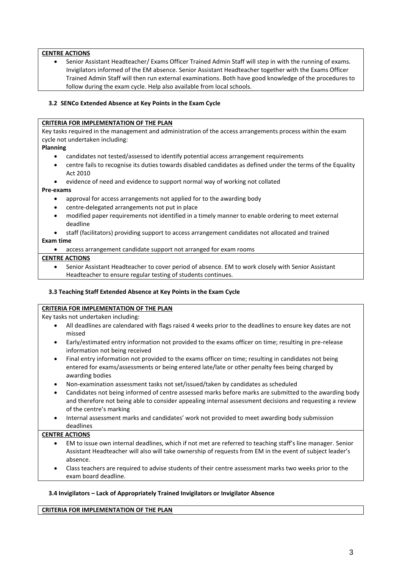# **CENTRE ACTIONS**

 Senior Assistant Headteacher/ Exams Officer Trained Admin Staff will step in with the running of exams. Invigilators informed of the EM absence. Senior Assistant Headteacher together with the Exams Officer Trained Admin Staff will then run external examinations. Both have good knowledge of the procedures to follow during the exam cycle. Help also available from local schools.

# **3.2 SENCo Extended Absence at Key Points in the Exam Cycle**

#### **CRITERIA FOR IMPLEMENTATION OF THE PLAN**

Key tasks required in the management and administration of the access arrangements process within the exam cycle not undertaken including:

#### **Planning**

- candidates not tested/assessed to identify potential access arrangement requirements
- centre fails to recognise its duties towards disabled candidates as defined under the terms of the Equality Act 2010
- evidence of need and evidence to support normal way of working not collated

#### **Pre-exams**

- approval for access arrangements not applied for to the awarding body
- centre-delegated arrangements not put in place
- modified paper requirements not identified in a timely manner to enable ordering to meet external deadline
- staff (facilitators) providing support to access arrangement candidates not allocated and trained

# **Exam time**

access arrangement candidate support not arranged for exam rooms

#### **CENTRE ACTIONS**

 Senior Assistant Headteacher to cover period of absence. EM to work closely with Senior Assistant Headteacher to ensure regular testing of students continues.

#### **3.3 Teaching Staff Extended Absence at Key Points in the Exam Cycle**

#### **CRITERIA FOR IMPLEMENTATION OF THE PLAN**

Key tasks not undertaken including:

- All deadlines are calendared with flags raised 4 weeks prior to the deadlines to ensure key dates are not missed
- Early/estimated entry information not provided to the exams officer on time; resulting in pre-release information not being received
- Final entry information not provided to the exams officer on time; resulting in candidates not being entered for exams/assessments or being entered late/late or other penalty fees being charged by awarding bodies
- Non-examination assessment tasks not set/issued/taken by candidates as scheduled
- Candidates not being informed of centre assessed marks before marks are submitted to the awarding body and therefore not being able to consider appealing internal assessment decisions and requesting a review of the centre's marking
- Internal assessment marks and candidates' work not provided to meet awarding body submission deadlines

#### **CENTRE ACTIONS**

- EM to issue own internal deadlines, which if not met are referred to teaching staff's line manager. Senior Assistant Headteacher will also will take ownership of requests from EM in the event of subject leader's absence.
- Class teachers are required to advise students of their centre assessment marks two weeks prior to the exam board deadline.

#### **3.4 Invigilators – Lack of Appropriately Trained Invigilators or Invigilator Absence**

#### **CRITERIA FOR IMPLEMENTATION OF THE PLAN**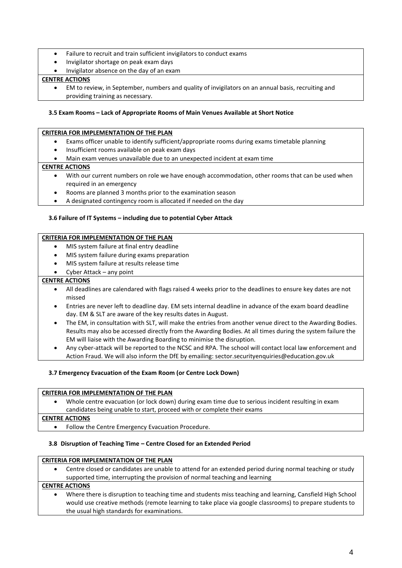- Failure to recruit and train sufficient invigilators to conduct exams
- Invigilator shortage on peak exam days
- Invigilator absence on the day of an exam

# **CENTRE ACTIONS**

 EM to review, in September, numbers and quality of invigilators on an annual basis, recruiting and providing training as necessary.

## **3.5 Exam Rooms – Lack of Appropriate Rooms of Main Venues Available at Short Notice**

#### **CRITERIA FOR IMPLEMENTATION OF THE PLAN**

- Exams officer unable to identify sufficient/appropriate rooms during exams timetable planning
- Insufficient rooms available on peak exam days
- Main exam venues unavailable due to an unexpected incident at exam time

# **CENTRE ACTIONS**

- With our current numbers on role we have enough accommodation, other rooms that can be used when required in an emergency
- Rooms are planned 3 months prior to the examination season
- A designated contingency room is allocated if needed on the day

# **3.6 Failure of IT Systems – including due to potential Cyber Attack**

#### **CRITERIA FOR IMPLEMENTATION OF THE PLAN**

- MIS system failure at final entry deadline
- MIS system failure during exams preparation
- MIS system failure at results release time
- Cyber Attack any point

## **CENTRE ACTIONS**

- All deadlines are calendared with flags raised 4 weeks prior to the deadlines to ensure key dates are not missed
- Entries are never left to deadline day. EM sets internal deadline in advance of the exam board deadline day. EM & SLT are aware of the key results dates in August.
- The EM, in consultation with SLT, will make the entries from another venue direct to the Awarding Bodies. Results may also be accessed directly from the Awarding Bodies. At all times during the system failure the EM will liaise with the Awarding Boarding to minimise the disruption.
- Any cyber-attack will be reported to the NCSC and RPA. The school will contact local law enforcement and Action Fraud. We will also inform the DfE by emailing: sector.securityenquiries@education.gov.uk

#### **3.7 Emergency Evacuation of the Exam Room (or Centre Lock Down)**

## **CRITERIA FOR IMPLEMENTATION OF THE PLAN**

 Whole centre evacuation (or lock down) during exam time due to serious incident resulting in exam candidates being unable to start, proceed with or complete their exams

#### **CENTRE ACTIONS**

Follow the Centre Emergency Evacuation Procedure.

#### **3.8 Disruption of Teaching Time – Centre Closed for an Extended Period**

# **CRITERIA FOR IMPLEMENTATION OF THE PLAN**

 Centre closed or candidates are unable to attend for an extended period during normal teaching or study supported time, interrupting the provision of normal teaching and learning

# **CENTRE ACTIONS**

 Where there is disruption to teaching time and students miss teaching and learning, Cansfield High School would use creative methods (remote learning to take place via google classrooms) to prepare students to the usual high standards for examinations.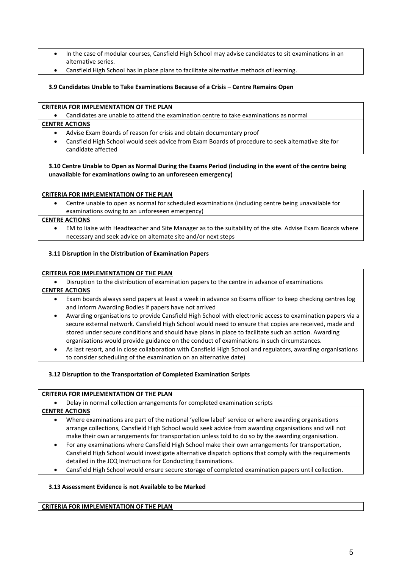- In the case of modular courses, Cansfield High School may advise candidates to sit examinations in an alternative series.
- Cansfield High School has in place plans to facilitate alternative methods of learning.

## **3.9 Candidates Unable to Take Examinations Because of a Crisis – Centre Remains Open**

# **CRITERIA FOR IMPLEMENTATION OF THE PLAN**

Candidates are unable to attend the examination centre to take examinations as normal

# **CENTRE ACTIONS**

- Advise Exam Boards of reason for crisis and obtain documentary proof
- Cansfield High School would seek advice from Exam Boards of procedure to seek alternative site for candidate affected

# **3.10 Centre Unable to Open as Normal During the Exams Period (including in the event of the centre being unavailable for examinations owing to an unforeseen emergency)**

#### **CRITERIA FOR IMPLEMENTATION OF THE PLAN**

 Centre unable to open as normal for scheduled examinations (including centre being unavailable for examinations owing to an unforeseen emergency)

#### **CENTRE ACTIONS**

 EM to liaise with Headteacher and Site Manager as to the suitability of the site. Advise Exam Boards where necessary and seek advice on alternate site and/or next steps

# **3.11 Disruption in the Distribution of Examination Papers**

#### **CRITERIA FOR IMPLEMENTATION OF THE PLAN**

Disruption to the distribution of examination papers to the centre in advance of examinations

#### **CENTRE ACTIONS**

- Exam boards always send papers at least a week in advance so Exams officer to keep checking centres log and inform Awarding Bodies if papers have not arrived
- Awarding organisations to provide Cansfield High School with electronic access to examination papers via a secure external network. Cansfield High School would need to ensure that copies are received, made and stored under secure conditions and should have plans in place to facilitate such an action. Awarding organisations would provide guidance on the conduct of examinations in such circumstances.
- As last resort, and in close collaboration with Cansfield High School and regulators, awarding organisations to consider scheduling of the examination on an alternative date)

# **3.12 Disruption to the Transportation of Completed Examination Scripts**

#### **CRITERIA FOR IMPLEMENTATION OF THE PLAN**

Delay in normal collection arrangements for completed examination scripts

#### **CENTRE ACTIONS**

- Where examinations are part of the national 'yellow label' service or where awarding organisations arrange collections, Cansfield High School would seek advice from awarding organisations and will not make their own arrangements for transportation unless told to do so by the awarding organisation.
- For any examinations where Cansfield High School make their own arrangements for transportation, Cansfield High School would investigate alternative dispatch options that comply with the requirements detailed in the JCQ Instructions for Conducting Examinations.
- Cansfield High School would ensure secure storage of completed examination papers until collection.

#### **3.13 Assessment Evidence is not Available to be Marked**

#### **CRITERIA FOR IMPLEMENTATION OF THE PLAN**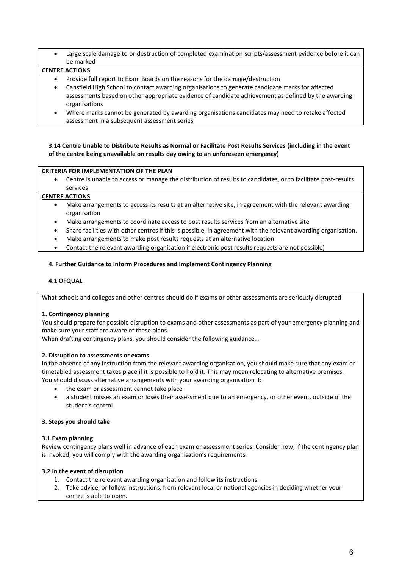Large scale damage to or destruction of completed examination scripts/assessment evidence before it can be marked

# **CENTRE ACTIONS**

- Provide full report to Exam Boards on the reasons for the damage/destruction
- Cansfield High School to contact awarding organisations to generate candidate marks for affected assessments based on other appropriate evidence of candidate achievement as defined by the awarding organisations
- Where marks cannot be generated by awarding organisations candidates may need to retake affected assessment in a subsequent assessment series

# **3.14 Centre Unable to Distribute Results as Normal or Facilitate Post Results Services (including in the event of the centre being unavailable on results day owing to an unforeseen emergency)**

# **CRITERIA FOR IMPLEMENTATION OF THE PLAN**

 Centre is unable to access or manage the distribution of results to candidates, or to facilitate post-results services

# **CENTRE ACTIONS**

- Make arrangements to access its results at an alternative site, in agreement with the relevant awarding organisation
- Make arrangements to coordinate access to post results services from an alternative site
- Share facilities with other centres if this is possible, in agreement with the relevant awarding organisation.
- Make arrangements to make post results requests at an alternative location
- Contact the relevant awarding organisation if electronic post results requests are not possible)

# **4. Further Guidance to Inform Procedures and Implement Contingency Planning**

## **4.1 OFQUAL**

What schools and colleges and other centres should do if exams or other assessments are seriously disrupted

# **1. Contingency planning**

You should prepare for possible disruption to exams and other assessments as part of your emergency planning and make sure your staff are aware of these plans.

When drafting contingency plans, you should consider the following guidance…

#### **2. Disruption to assessments or exams**

In the absence of any instruction from the relevant awarding organisation, you should make sure that any exam or timetabled assessment takes place if it is possible to hold it. This may mean relocating to alternative premises. You should discuss alternative arrangements with your awarding organisation if:

- the exam or assessment cannot take place
- a student misses an exam or loses their assessment due to an emergency, or other event, outside of the student's control

#### **3. Steps you should take**

#### **3.1 Exam planning**

Review contingency plans well in advance of each exam or assessment series. Consider how, if the contingency plan is invoked, you will comply with the awarding organisation's requirements.

#### **3.2 In the event of disruption**

- 1. Contact the relevant awarding organisation and follow its instructions.
- 2. Take advice, or follow instructions, from relevant local or national agencies in deciding whether your centre is able to open.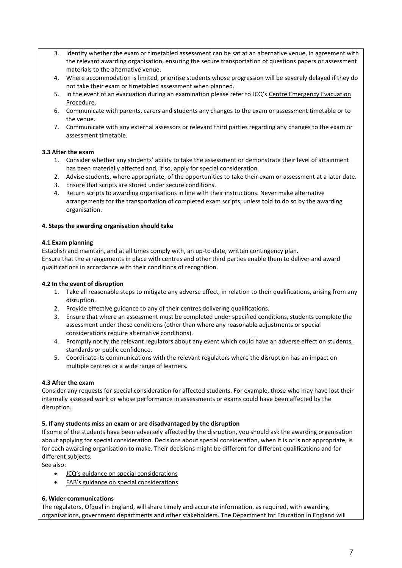- 3. Identify whether the exam or timetabled assessment can be sat at an alternative venue, in agreement with the relevant awarding organisation, ensuring the secure transportation of questions papers or assessment materials to the alternative venue.
- 4. Where accommodation is limited, prioritise students whose progression will be severely delayed if they do not take their exam or timetabled assessment when planned.
- 5. In the event of an evacuation during an examination please refer to JCQ's Centre Emergency Evacuation Procedure.
- 6. Communicate with parents, carers and students any changes to the exam or assessment timetable or to the venue.
- 7. Communicate with any external assessors or relevant third parties regarding any changes to the exam or assessment timetable.

# **3.3 After the exam**

- 1. Consider whether any students' ability to take the assessment or demonstrate their level of attainment has been materially affected and, if so, apply for special consideration.
- 2. Advise students, where appropriate, of the opportunities to take their exam or assessment at a later date.
- 3. Ensure that scripts are stored under secure conditions.
- 4. Return scripts to awarding organisations in line with their instructions. Never make alternative arrangements for the transportation of completed exam scripts, unless told to do so by the awarding organisation.

# **4. Steps the awarding organisation should take**

# **4.1 Exam planning**

Establish and maintain, and at all times comply with, an up-to-date, written contingency plan. Ensure that the arrangements in place with centres and other third parties enable them to deliver and award qualifications in accordance with their conditions of recognition.

# **4.2 In the event of disruption**

- 1. Take all reasonable steps to mitigate any adverse effect, in relation to their qualifications, arising from any disruption.
- 2. Provide effective guidance to any of their centres delivering qualifications.
- 3. Ensure that where an assessment must be completed under specified conditions, students complete the assessment under those conditions (other than where any reasonable adjustments or special considerations require alternative conditions).
- 4. Promptly notify the relevant regulators about any event which could have an adverse effect on students, standards or public confidence.
- 5. Coordinate its communications with the relevant regulators where the disruption has an impact on multiple centres or a wide range of learners.

# **4.3 After the exam**

Consider any requests for special consideration for affected students. For example, those who may have lost their internally assessed work or whose performance in assessments or exams could have been affected by the disruption.

# **5. If any students miss an exam or are disadvantaged by the disruption**

If some of the students have been adversely affected by the disruption, you should ask the awarding organisation about applying for special consideration. Decisions about special consideration, when it is or is not appropriate, is for each awarding organisation to make. Their decisions might be different for different qualifications and for different subjects.

See also:

- JCQ's guidance on special considerations
- FAB's guidance on special considerations

# **6. Wider communications**

The regulators[, Ofqual](https://www.gov.uk/ofqual) in England, will share timely and accurate information, as required, with awarding organisations, government departments and other stakeholders. The Department for Education in England will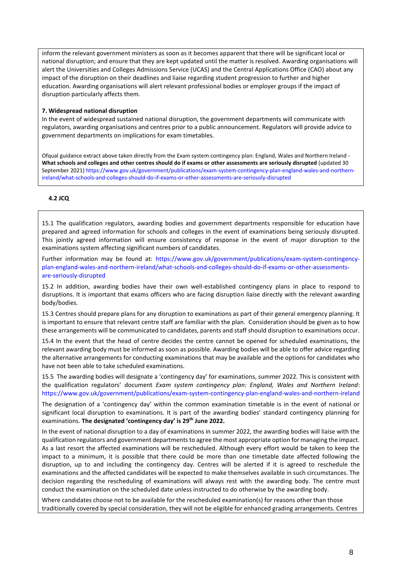inform the relevant government ministers as soon as it becomes apparent that there will be significant local or national disruption; and ensure that they are kept updated until the matter is resolved. Awarding organisations will alert the Universities and Colleges Admissions Service (UCAS) and the Central Applications Office (CAO) about any impact of the disruption on their deadlines and liaise regarding student progression to further and higher education. Awarding organisations will alert relevant professional bodies or employer groups if the impact of disruption particularly affects them.

#### **7. Widespread national disruption**

In the event of widespread sustained national disruption, the government departments will communicate with regulators, awarding organisations and centres prior to a public announcement. Regulators will provide advice to government departments on implications for exam timetables.

Ofqual guidance extract above taken directly from the Exam system contingency plan: England, Wales and Northern Ireland - **What schools and colleges and other centres should do if exams or other assessments are seriously disrupted** (updated 30 September 2021[\) https://www.gov.uk/government/publications/exam-system-contingency-plan-england-wales-and-northern](https://www.gov.uk/government/publications/exam-system-contingency-plan-england-wales-and-northern-ireland/what-schools-and-colleges-should-do-if-exams-or-other-assessments-are-seriously-disrupted)[ireland/what-schools-and-colleges-should-do-if-exams-or-other-assessments-are-seriously-disrupted](https://www.gov.uk/government/publications/exam-system-contingency-plan-england-wales-and-northern-ireland/what-schools-and-colleges-should-do-if-exams-or-other-assessments-are-seriously-disrupted)

# **4.2 JCQ**

15.1 The qualification regulators, awarding bodies and government departments responsible for education have prepared and agreed information for schools and colleges in the event of examinations being seriously disrupted. This jointly agreed information will ensure consistency of response in the event of major disruption to the examinations system affecting significant numbers of candidates.

Further information may be found at: [https://www.gov.uk/government/publications/exam-system-contingency](https://www.gov.uk/government/publications/exam-system-contingency-plan-england-wales-and-northern-ireland/what-schools-and-colleges-should-do-if-exams-or-other-assessments-are-seriously-disrupted)[plan-england-wales-and-northern-ireland/what-schools-and-colleges-should-do-if-exams-or-other-assessments](https://www.gov.uk/government/publications/exam-system-contingency-plan-england-wales-and-northern-ireland/what-schools-and-colleges-should-do-if-exams-or-other-assessments-are-seriously-disrupted)[are-seriously-disrupted](https://www.gov.uk/government/publications/exam-system-contingency-plan-england-wales-and-northern-ireland/what-schools-and-colleges-should-do-if-exams-or-other-assessments-are-seriously-disrupted)

15.2 In addition, awarding bodies have their own well-established contingency plans in place to respond to disruptions. It is important that exams officers who are facing disruption liaise directly with the relevant awarding body/bodies.

15.3 Centres should prepare plans for any disruption to examinations as part of their general emergency planning. It is important to ensure that relevant centre staff are familiar with the plan. Consideration should be given as to how these arrangements will be communicated to candidates, parents and staff should disruption to examinations occur.

15.4 In the event that the head of centre decides the centre cannot be opened for scheduled examinations, the relevant awarding body must be informed as soon as possible. Awarding bodies will be able to offer advice regarding the alternative arrangements for conducting examinations that may be available and the options for candidates who have not been able to take scheduled examinations.

15.5 The awarding bodies will designate a 'contingency day' for examinations, summer 2022. This is consistent with the qualification regulators' document *Exam system contingency plan: England, Wales and Northern Ireland*: <https://www.gov.uk/government/publications/exam-system-contingency-plan-england-wales-and-northern-ireland>

The designation of a 'contingency day' within the common examination timetable is in the event of national or significant local disruption to examinations. It is part of the awarding bodies' standard contingency planning for examinations. **The designated 'contingency day' is 29th June 2022.**

In the event of national disruption to a day of examinations in summer 2022, the awarding bodies will liaise with the qualification regulators and government departments to agree the most appropriate option for managing the impact. As a last resort the affected examinations will be rescheduled. Although every effort would be taken to keep the impact to a minimum, it is possible that there could be more than one timetable date affected following the disruption, up to and including the contingency day. Centres will be alerted if it is agreed to reschedule the examinations and the affected candidates will be expected to make themselves available in such circumstances. The decision regarding the rescheduling of examinations will always rest with the awarding body. The centre must conduct the examination on the scheduled date unless instructed to do otherwise by the awarding body.

Where candidates choose not to be available for the rescheduled examination(s) for reasons other than those traditionally covered by special consideration, they will not be eligible for enhanced grading arrangements. Centres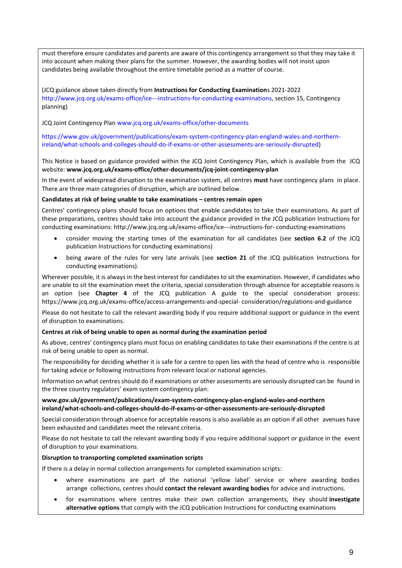must therefore ensure candidates and parents are aware of this contingency arrangement so that they may take it into account when making their plans for the summer. However, the awarding bodies will not insist upon candidates being available throughout the entire timetable period as a matter of course.

(JCQ guidance above taken directly from **Instructions for Conducting Examination**s 2021-2022 [http://www.jcq.org.uk/exams-office/ice---instructions-for-conducting-examinations,](http://www.jcq.org.uk/exams-office/ice---instructions-for-conducting-examinations) section 15, Contingency planning)

JCQ Joint Contingency Pla[n www.jcq.org.uk/exams-office/other-documents](http://www.jcq.org.uk/exams-office/other-documents)

[https://www.gov.uk/government/publications/exam-system-contingency-plan-england-wales-and-northern](https://www.gov.uk/government/publications/exam-system-contingency-plan-england-wales-and-northern-ireland/what-schools-and-colleges-should-do-if-exams-or-other-assessments-are-seriously-disrupted)[ireland/what-schools-and-colleges-should-do-if-exams-or-other-assessments-are-seriously-disrupted\)](https://www.gov.uk/government/publications/exam-system-contingency-plan-england-wales-and-northern-ireland/what-schools-and-colleges-should-do-if-exams-or-other-assessments-are-seriously-disrupted)

This Notice is based on guidance provided within the JCQ Joint Contingency Plan, which is available from the JCQ website: **[www.jcq.org.uk/exams-office/other-documents/jcq-joint-contingency-plan](https://www.jcq.org.uk/exams-office/other-documents/jcq-joint-contingency-plan)**

In the event of widespread disruption to the examination system, all centres **must** have contingency plans in place. There are three main categories of disruption, which are outlined below.

# **Candidates at risk of being unable to take examinations – centres remain open**

Centres' contingency plans should focus on options that enable candidates to take their examinations. As part of these preparations, centres should take into account the guidance provided in the JCQ publication Instructions for conducting examinations: http://www.jcq.org.uk/exams-office/ice---instructions-for- conducting-examinations

- consider moving the starting times of the examination for all candidates (see **section 6.2** of the JCQ publication Instructions for conducting examinations)
- being aware of the rules for very late arrivals (see **section 21** of the JCQ publication Instructions for conducting examinations).

Wherever possible, it is always in the best interest for candidates to sit the examination. However, if candidates who are unable to sit the examination meet the criteria, special consideration through absence for acceptable reasons is an option (see **Chapter 4** of the JCQ publication A guide to the special consideration process: https://www.jcq.org.uk/exams-office/access-arrangements-and-special- consideration/regulations-and-guidance

Please do not hesitate to call the relevant awarding body if you require additional support or guidance in the event of disruption to examinations.

#### **Centres at risk of being unable to open as normal during the examination period**

As above, centres' contingency plans must focus on enabling candidates to take their examinations if the centre is at risk of being unable to open as normal.

The responsibility for deciding whether it is safe for a centre to open lies with the head of centre who is responsible for taking advice or following instructions from relevant local or national agencies.

Information on what centres should do if examinations or other assessments are seriously disrupted can be found in the three country regulators' exam system contingency plan:

# **[www.gov.uk/government/publications/exam-system-contingency-plan-england-wales-and-northern](https://www.gov.uk/government/publications/exam-system-contingency-plan-england-wales-and-northern-ireland/what-schools-and-colleges-should-do-if-exams-or-other-assessments-are-seriously-disrupted)  [ireland/what-schools-and-colleges-should-do-if-exams-or-other-assessments-are-seriously-disrupted](https://www.gov.uk/government/publications/exam-system-contingency-plan-england-wales-and-northern-ireland/what-schools-and-colleges-should-do-if-exams-or-other-assessments-are-seriously-disrupted)**

Special consideration through absence for acceptable reasons is also available as an option if all other avenues have been exhausted and candidates meet the relevant criteria.

Please do not hesitate to call the relevant awarding body if you require additional support or guidance in the event of disruption to your examinations.

# **Disruption to transporting completed examination scripts**

If there is a delay in normal collection arrangements for completed examination scripts:

- where examinations are part of the national 'yellow label' service or where awarding bodies arrange collections, centres should **contact the relevant awarding bodies** for advice and instructions.
- for examinations where centres make their own collection arrangements, they should **investigate alternative options** that comply with the JCQ publication Instructions for conducting examinations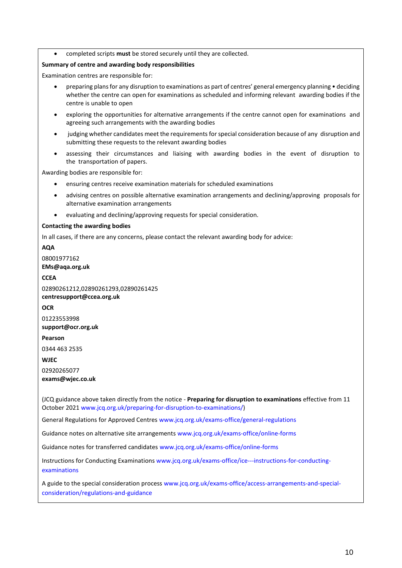completed scripts **must** be stored securely until they are collected.

#### **Summary of centre and awarding body responsibilities**

Examination centres are responsible for:

- preparing plans for any disruption to examinations as part of centres' general emergency planning deciding whether the centre can open for examinations as scheduled and informing relevant awarding bodies if the centre is unable to open
- exploring the opportunities for alternative arrangements if the centre cannot open for examinations and agreeing such arrangements with the awarding bodies
- judging whether candidates meet the requirements for special consideration because of any disruption and submitting these requests to the relevant awarding bodies
- assessing their circumstances and liaising with awarding bodies in the event of disruption to the transportation of papers.

Awarding bodies are responsible for:

- ensuring centres receive examination materials for scheduled examinations
- advising centres on possible alternative examination arrangements and declining/approving proposals for alternative examination arrangements
- evaluating and declining/approving requests for special consideration.

#### **Contacting the awarding bodies**

In all cases, if there are any concerns, please contact the relevant awarding body for advice:

**AQA**

08001977162 **[EMs@aqa.org.uk](mailto:eos@aqa.org.uk)**

**CCEA**

02890261212,02890261293,02890261425 **[centresupport@ccea.org.uk](mailto:centresupport@ccea.org.uk)**

**OCR**

01223553998 **[support@ocr.org.uk](mailto:support@ocr.org.uk)**

**Pearson**

0344 463 2535

**WJEC**

02920265077

**[exams@wjec.co.uk](mailto:exams@wjec.co.uk)**

(JCQ guidance above taken directly from the notice - **Preparing for disruption to examinations** effective from 11 October 2021 [www.jcq.org.uk/preparing-for-disruption-to-examinations/\)](http://www.jcq.org.uk/preparing-for-disruption-to-examinations/)

General Regulations for Approved Centres [www.jcq.org.uk/exams-office/general-regulations](http://www.jcq.org.uk/exams-office/general-regulations)

Guidance notes on alternative site arrangements [www.jcq.org.uk/exams-office/online-forms](http://www.jcq.org.uk/exams-office/online-forms)

Guidance notes for transferred candidates [www.jcq.org.uk/exams-office/online-forms](http://www.jcq.org.uk/exams-office/online-forms)

Instructions for Conducting Examination[s www.jcq.org.uk/exams-office/ice---instructions-for-conducting](http://www.jcq.org.uk/exams-office/ice---instructions-for-conducting-examinations)[examinations](http://www.jcq.org.uk/exams-office/ice---instructions-for-conducting-examinations) 

A guide to the special consideration process [www.jcq.org.uk/exams-office/access-arrangements-and-special](http://www.jcq.org.uk/exams-office/access-arrangements-and-special-consideration/regulations-and-guidance)[consideration/regulations-and-guidance](http://www.jcq.org.uk/exams-office/access-arrangements-and-special-consideration/regulations-and-guidance)